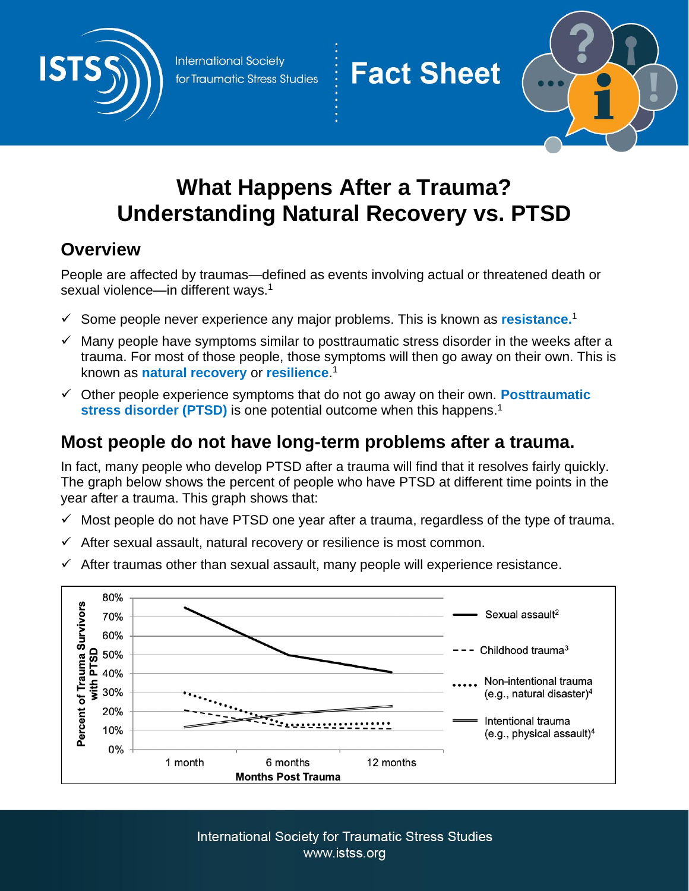

**International Society** for Traumatic Stress Studies



# **What Happens After a Trauma? Understanding Natural Recovery vs. PTSD**

**Fact Sheet** 

### **Overview**

People are affected by traumas—defined as events involving actual or threatened death or sexual violence—in different ways.<sup>1</sup>

- ✓ Some people never experience any major problems. This is known as **resistance.** 1
- $\checkmark$  Many people have symptoms similar to posttraumatic stress disorder in the weeks after a trauma. For most of those people, those symptoms will then go away on their own. This is known as **natural recovery** or **resilience**. 1
- ✓ Other people experience symptoms that do not go away on their own. **Posttraumatic**  stress disorder (PTSD) is one potential outcome when this happens.<sup>1</sup>

## **Most people do not have long-term problems after a trauma.**

In fact, many people who develop PTSD after a trauma will find that it resolves fairly quickly. The graph below shows the percent of people who have PTSD at different time points in the year after a trauma. This graph shows that:

- $\checkmark$  Most people do not have PTSD one year after a trauma, regardless of the type of trauma.
- $\checkmark$  After sexual assault, natural recovery or resilience is most common.
- $\checkmark$  After traumas other than sexual assault, many people will experience resistance.